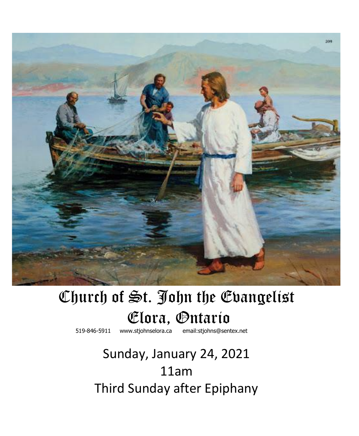

# Church of St. John the Evangelist **Clora, Ontario** *Clora*. **Contario**

519-846-5911 [www.stjohnselora.ca email:stjohns@sentex.net](http://www.stjohnselora.ca%20%20%20%20%20%20email:stjohns@sentex.net)

## Sunday, January 24, 2021 11am Third Sunday after Epiphany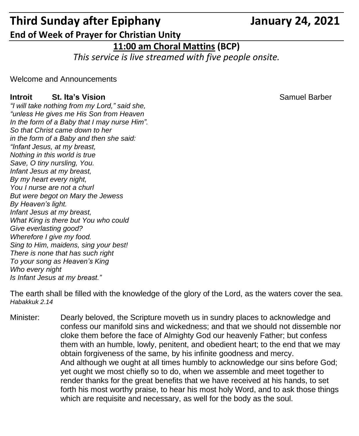### **Third Sunday after Epiphany January 24, 2021 End of Week of Prayer for Christian Unity**

#### **11:00 am Choral Mattins (BCP)**

*This service is live streamed with five people onsite.*

Welcome and Announcements

#### **Introit St. Ita's Vision <b>St. Itable St. Itable 2018** Samuel Barber

*"I will take nothing from my Lord," said she, "unless He gives me His Son from Heaven In the form of a Baby that I may nurse Him". So that Christ came down to her in the form of a Baby and then she said: "Infant Jesus, at my breast, Nothing in this world is true Save, O tiny nursling, You. Infant Jesus at my breast, By my heart every night, You I nurse are not a churl But were begot on Mary the Jewess By Heaven's light. Infant Jesus at my breast, What King is there but You who could Give everlasting good? Wherefore I give my food. Sing to Him, maidens, sing your best! There is none that has such right To your song as Heaven's King Who every night Is Infant Jesus at my breast."*

The earth shall be filled with the knowledge of the glory of the Lord, as the waters cover the sea. *Habakkuk 2.14*

Minister: Dearly beloved, the Scripture moveth us in sundry places to acknowledge and confess our manifold sins and wickedness; and that we should not dissemble nor cloke them before the face of Almighty God our heavenly Father; but confess them with an humble, lowly, penitent, and obedient heart; to the end that we may obtain forgiveness of the same, by his infinite goodness and mercy. And although we ought at all times humbly to acknowledge our sins before God; yet ought we most chiefly so to do, when we assemble and meet together to render thanks for the great benefits that we have received at his hands, to set forth his most worthy praise, to hear his most holy Word, and to ask those things which are requisite and necessary, as well for the body as the soul.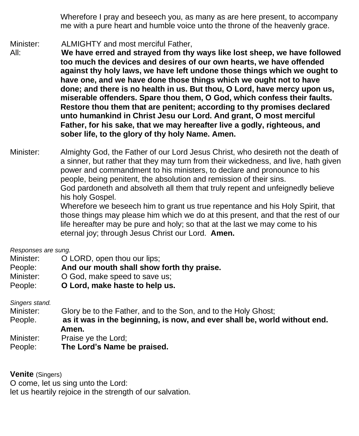Wherefore I pray and beseech you, as many as are here present, to accompany me with a pure heart and humble voice unto the throne of the heavenly grace.

Minister: ALMIGHTY and most merciful Father,

All: **We have erred and strayed from thy ways like lost sheep, we have followed too much the devices and desires of our own hearts, we have offended against thy holy laws, we have left undone those things which we ought to have one, and we have done those things which we ought not to have done; and there is no health in us. But thou, O Lord, have mercy upon us, miserable offenders. Spare thou them, O God, which confess their faults. Restore thou them that are penitent; according to thy promises declared unto humankind in Christ Jesu our Lord. And grant, O most merciful Father, for his sake, that we may hereafter live a godly, righteous, and sober life, to the glory of thy holy Name. Amen.**

Minister: Almighty God, the Father of our Lord Jesus Christ, who desireth not the death of a sinner, but rather that they may turn from their wickedness, and live, hath given power and commandment to his ministers, to declare and pronounce to his people, being penitent, the absolution and remission of their sins. God pardoneth and absolveth all them that truly repent and unfeignedly believe his holy Gospel. Wherefore we beseech him to grant us true repentance and his Holy Spirit, that

those things may please him which we do at this present, and that the rest of our life hereafter may be pure and holy; so that at the last we may come to his eternal joy; through Jesus Christ our Lord. **Amen.**

*Responses are sung.*

| Minister: |  | O LORD, open thou our lips; |
|-----------|--|-----------------------------|
|-----------|--|-----------------------------|

- People: **And our mouth shall show forth thy praise.**
- Minister:  $O God$  make speed to save us:
- People: **O Lord, make haste to help us.**

*Singers stand.*

Minister: Glory be to the Father, and to the Son, and to the Holy Ghost;

- People. **as it was in the beginning, is now, and ever shall be, world without end. Amen.**
- Minister: Praise ye the Lord;
- People: **The Lord's Name be praised.**

**Venite** (Singers)

O come, let us sing unto the Lord:

let us heartily rejoice in the strength of our salvation.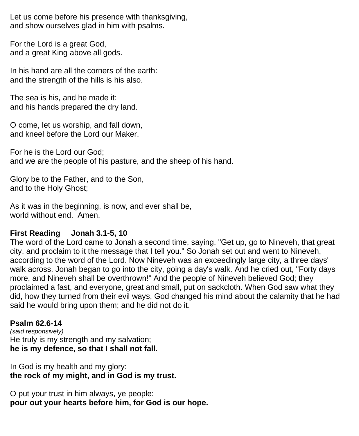Let us come before his presence with thanksgiving, and show ourselves glad in him with psalms.

For the Lord is a great God, and a great King above all gods.

In his hand are all the corners of the earth: and the strength of the hills is his also.

The sea is his, and he made it: and his hands prepared the dry land.

O come, let us worship, and fall down, and kneel before the Lord our Maker.

For he is the Lord our God; and we are the people of his pasture, and the sheep of his hand.

Glory be to the Father, and to the Son, and to the Holy Ghost;

As it was in the beginning, is now, and ever shall be, world without end. Amen.

#### **First Reading Jonah 3.1-5, 10**

The word of the Lord came to Jonah a second time, saying, "Get up, go to Nineveh, that great city, and proclaim to it the message that I tell you." So Jonah set out and went to Nineveh, according to the word of the Lord. Now Nineveh was an exceedingly large city, a three days' walk across. Jonah began to go into the city, going a day's walk. And he cried out, "Forty days more, and Nineveh shall be overthrown!" And the people of Nineveh believed God; they proclaimed a fast, and everyone, great and small, put on sackcloth. When God saw what they did, how they turned from their evil ways, God changed his mind about the calamity that he had said he would bring upon them; and he did not do it.

#### **Psalm 62.6-14**

*(said responsively)* He truly is my strength and my salvation; **he is my defence, so that I shall not fall.**

In God is my health and my glory: **the rock of my might, and in God is my trust.**

O put your trust in him always, ye people: **pour out your hearts before him, for God is our hope.**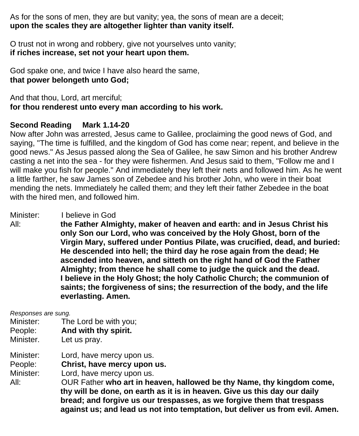As for the sons of men, they are but vanity; yea, the sons of mean are a deceit; **upon the scales they are altogether lighter than vanity itself.**

O trust not in wrong and robbery, give not yourselves unto vanity; **if riches increase, set not your heart upon them.**

God spake one, and twice I have also heard the same, **that power belongeth unto God;**

And that thou, Lord, art merciful; **for thou renderest unto every man according to his work.**

#### **Second Reading Mark 1.14-20**

Now after John was arrested, Jesus came to Galilee, proclaiming the good news of God, and saying, "The time is fulfilled, and the kingdom of God has come near; repent, and believe in the good news." As Jesus passed along the Sea of Galilee, he saw Simon and his brother Andrew casting a net into the sea - for they were fishermen. And Jesus said to them, "Follow me and I will make you fish for people." And immediately they left their nets and followed him. As he went a little farther, he saw James son of Zebedee and his brother John, who were in their boat mending the nets. Immediately he called them; and they left their father Zebedee in the boat with the hired men, and followed him.

Minister: I believe in God

All: **the Father Almighty, maker of heaven and earth: and in Jesus Christ his only Son our Lord, who was conceived by the Holy Ghost, born of the Virgin Mary, suffered under Pontius Pilate, was crucified, dead, and buried: He descended into hell; the third day he rose again from the dead; He ascended into heaven, and sitteth on the right hand of God the Father Almighty; from thence he shall come to judge the quick and the dead. I believe in the Holy Ghost; the holy Catholic Church; the communion of saints; the forgiveness of sins; the resurrection of the body, and the life everlasting. Amen.**

*Responses are sung.*

- Minister: The Lord be with you;
- People: **And with thy spirit.**
- Minister. Let us pray.

Minister: Lord, have mercy upon us.

People: **Christ, have mercy upon us.**

Minister: Lord, have mercy upon us.

All: OUR Father **who art in heaven, hallowed be thy Name, thy kingdom come, thy will be done, on earth as it is in heaven. Give us this day our daily bread; and forgive us our trespasses, as we forgive them that trespass against us; and lead us not into temptation, but deliver us from evil. Amen.**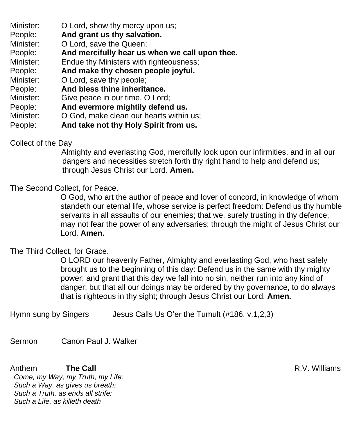- Minister: **O** Lord, show thy mercy upon us;
- People: **And grant us thy salvation.**
- Minister: O Lord, save the Queen;
- People: **And mercifully hear us when we call upon thee.**
- Minister: Endue thy Ministers with righteousness;
- People: **And make thy chosen people joyful.**
- Minister: O Lord, save thy people;
- People: **And bless thine inheritance.**
- Minister: Give peace in our time, O Lord;
- People: **And evermore mightily defend us.**
- Minister: O God, make clean our hearts within us;
- People: **And take not thy Holy Spirit from us.**

#### Collect of the Day

Almighty and everlasting God, mercifully look upon our infirmities, and in all our dangers and necessities stretch forth thy right hand to help and defend us; through Jesus Christ our Lord. **Amen.**

#### The Second Collect, for Peace.

O God, who art the author of peace and lover of concord, in knowledge of whom standeth our eternal life, whose service is perfect freedom: Defend us thy humble servants in all assaults of our enemies; that we, surely trusting in thy defence, may not fear the power of any adversaries; through the might of Jesus Christ our Lord. **Amen.**

#### The Third Collect, for Grace.

O LORD our heavenly Father, Almighty and everlasting God, who hast safely brought us to the beginning of this day: Defend us in the same with thy mighty power; and grant that this day we fall into no sin, neither run into any kind of danger; but that all our doings may be ordered by thy governance, to do always that is righteous in thy sight; through Jesus Christ our Lord. **Amen.**

Hymn sung by Singers Jesus Calls Us O'er the Tumult (#186, v.1,2,3)

Sermon Canon Paul J. Walker

Anthem **The Call The Call R.V. Williams** *Come, my Way, my Truth, my Life: Such a Way, as gives us breath: Such a Truth, as ends all strife: Such a Life, as killeth death*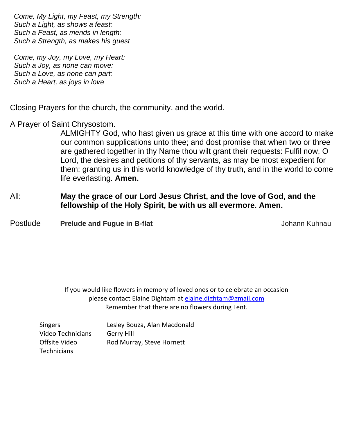*Come, My Light, my Feast, my Strength: Such a Light, as shows a feast: Such a Feast, as mends in length: Such a Strength, as makes his guest*

*Come, my Joy, my Love, my Heart: Such a Joy, as none can move: Such a Love, as none can part: Such a Heart, as joys in love*

Closing Prayers for the church, the community, and the world.

A Prayer of Saint Chrysostom.

ALMIGHTY God, who hast given us grace at this time with one accord to make our common supplications unto thee; and dost promise that when two or three are gathered together in thy Name thou wilt grant their requests: Fulfil now, O Lord, the desires and petitions of thy servants, as may be most expedient for them; granting us in this world knowledge of thy truth, and in the world to come life everlasting. **Amen.**

#### All: **May the grace of our Lord Jesus Christ, and the love of God, and the fellowship of the Holy Spirit, be with us all evermore. Amen.**

**Postlude Prelude and Fugue in B-flat** Manuschille and Turking and Turking Automobile Automobile Automobile Automobile Automobile Automobile Automobile Automobile Automobile Automobile Automobile Automobile Automobile Auto

If you would like flowers in memory of loved ones or to celebrate an occasion please contact Elaine Dightam at [elaine.dightam@gmail.com](mailto:elaine.dightam@gmail.com) Remember that there are no flowers during Lent.

| <b>Singers</b>     | Lesley Bouza, Alan Macdonald |
|--------------------|------------------------------|
| Video Technicians  | Gerry Hill                   |
| Offsite Video      | Rod Murray, Steve Hornett    |
| <b>Technicians</b> |                              |